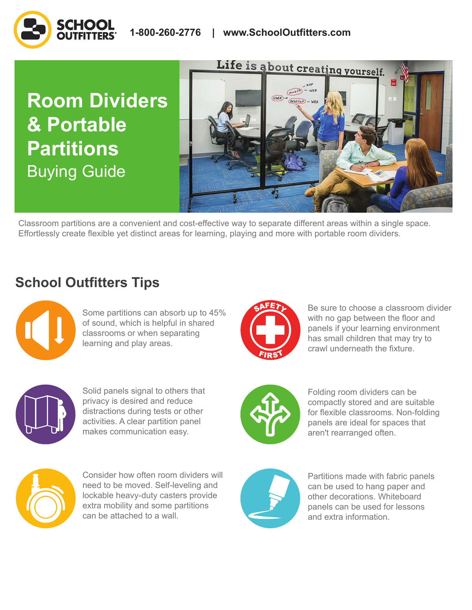# **Room Dividers & Portable Partitions**  Buying Guide



Classroom partitions are a convenient and cost-effective way to separate different areas within a single space. Effortlessly create flexible yet distinct areas for learning, playing and more with portable room dividers.

## **School Outfitters Tips**



Some partitions can absorb up to 45% of sound, which is helpful in shared classrooms or when separating learning and play areas.



Be sure to choose a classroom divider with no gap between the floor and panels if your learning environment has small children that may try to crawl underneath the fixture.



Solid panels signal to others that privacy is desired and reduce distractions during tests or other activities. A clear partition panel makes communication easy.



Folding room dividers can be compactly stored and are suitable for flexible classrooms. Non-folding panels are ideal for spaces that aren't rearranged often.



Consider how often room dividers will need to be moved. Self-leveling and lockable heavy-duty casters provide extra mobility and some partitions can be attached to a wall.



Partitions made with fabric panels can be used to hang paper and other decorations. Whiteboard panels can be used for lessons and extra information.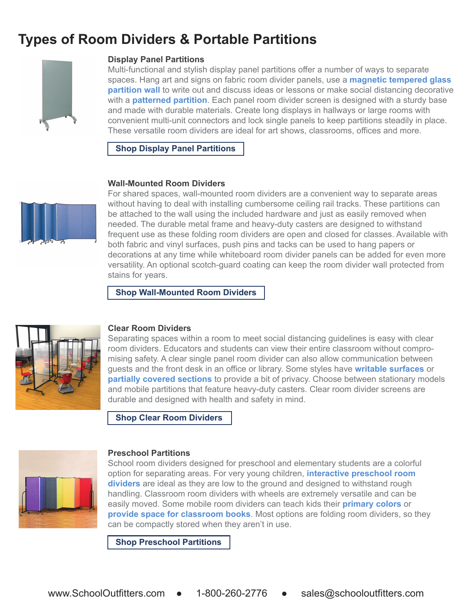### **Types of Room Dividers & Portable Partitions**



#### **Display Panel Partitions**

Multi-functional and stylish display panel partitions offer a number of ways to separate spaces. Hang art and signs on fabric room divider panels, use a **[magnetic tempered glass](https://www.schooloutfitters.com/catalog/product_family_info/pfam_id/PFAM50493?envmkt=Img2&sc_cid=BuyingGuide_RoomDividersandPortablePartitions_ProductLinks_MagneticTemperedGlassPartitionWall)  [partition wall](https://www.schooloutfitters.com/catalog/product_family_info/pfam_id/PFAM50493?envmkt=Img2&sc_cid=BuyingGuide_RoomDividersandPortablePartitions_ProductLinks_MagneticTemperedGlassPartitionWall)** to write out and discuss ideas or lessons or make social distancing decorative with a **[patterned partition](https://www.schooloutfitters.com/catalog/product_family_info/pfam_id/PFAM68703?sc_cid=BuyingGuide_RoomDividersandPortablePartitions_ProductLinks_PatternedPartition)**. Each panel room divider screen is designed with a sturdy base and made with durable materials. Create long displays in hallways or large rooms with convenient multi-unit connectors and lock single panels to keep partitions steadily in place. These versatile room dividers are ideal for art shows, classrooms, offices and more.

**[Shop Display Panel Partitions](https://www.schooloutfitters.com/catalog/default/cPath/CAT189_CAT684?page=viewall&view=grid&sc_cid=BuyingGuide_RoomDividersandPortablePartitions_ProductLinks_ShopDisplayPanelPartitions)** 

#### **Wall-Mounted Room Dividers**



For shared spaces, wall-mounted room dividers are a convenient way to separate areas without having to deal with installing cumbersome ceiling rail tracks. These partitions can be attached to the wall using the included hardware and just as easily removed when needed. The durable metal frame and heavy-duty casters are designed to withstand frequent use as these folding room dividers are open and closed for classes. Available with both fabric and vinyl surfaces, push pins and tacks can be used to hang papers or decorations at any time while whiteboard room divider panels can be added for even more versatility. An optional scotch-guard coating can keep the room divider wall protected from stains for years.

**[Shop Wall-Mounted Room Dividers](https://www.schooloutfitters.com/catalog/default/cPath/CAT189_CAT685?sc_cid=BuyingGuide_RoomDividersandPortablePartitions_ProductLinks_ShopWallMountedRoomDividers)** 



#### **Clear Room Dividers**

Separating spaces within a room to meet social distancing guidelines is easy with clear room dividers. Educators and students can view their entire classroom without compromising safety. A clear single panel room divider can also allow communication between guests and the front desk in an office or library. Some styles have **[writable surfaces](https://www.schooloutfitters.com/catalog/product_info/pfam_id/PFAM70172/products_id/PRO79616?sc_cid=BuyingGuide_RoomDividersandPortablePartitions_ProductLinks_WritableSurfaces)** or **[partially covered sections](https://www.schooloutfitters.com/catalog/product_family_info/pfam_id/PFAM68698?sc_cid=BuyingGuide_RoomDividersandPortablePartitions_ProductLinks_PartiallyCoveredSections)** to provide a bit of privacy. Choose between stationary models and mobile partitions that feature heavy-duty casters. Clear room divider screens are durable and designed with health and safety in mind.

**[Shop Clear Room Dividers](https://www.schooloutfitters.com/catalog/default/cPath/CAT189_CAT3498?sc_cid=BuyingGuide_RoomDividersandPortablePartitions_ProductLinks_ShopClearRoomDividers)** 



#### **Preschool Partitions**

School room dividers designed for preschool and elementary students are a colorful option for separating areas. For very young children, **[interactive preschool room](https://www.schooloutfitters.com/catalog/product_info/pfam_id/PFAM40108/products_id/PRO51046?sc_cid=BuyingGuide_RoomDividersandPortablePartitions_ProductLinks_InteractivePreschoolRoomDividers)  [dividers](https://www.schooloutfitters.com/catalog/product_info/pfam_id/PFAM40108/products_id/PRO51046?sc_cid=BuyingGuide_RoomDividersandPortablePartitions_ProductLinks_InteractivePreschoolRoomDividers)** are ideal as they are low to the ground and designed to withstand rough handling. Classroom room dividers with wheels are extremely versatile and can be easily moved. Some mobile room dividers can teach kids their **[primary colors](https://www.schooloutfitters.com/catalog/product_family_info/pfam_id/PFAM56287?sc_cid=BuyingGuide_RoomDividersandPortablePartitions_ProductLinks_PrimaryColors)** or **[provide space for classroom books](https://www.schooloutfitters.com/catalog/product_family_info/pfam_id/PFAM3114?sc_cid=BuyingGuide_RoomDividersandPortablePartitions_ProductLinks_ProvideSpaceforClassroomBooks)**. Most options are folding room dividers, so they can be compactly stored when they aren't in use.

**[Shop Preschool Partitions](https://www.schooloutfitters.com/catalog/default/cPath/CAT189_CAT748?sc_cid=BuyingGuide_RoomDividersandPortablePartitions_ProductLinks_ShopPreschoolPartitions)**